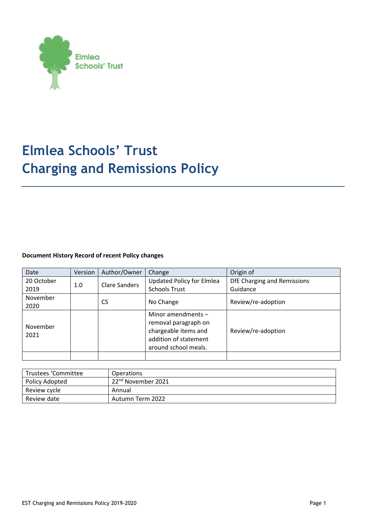

# **Elmlea Schools' Trust Charging and Remissions Policy**

## **Document History Record of recent Policy changes**

| Date             | Version | Author/Owner         | Change                                                                                                                | Origin of                   |
|------------------|---------|----------------------|-----------------------------------------------------------------------------------------------------------------------|-----------------------------|
| 20 October       | 1.0     | <b>Clare Sanders</b> | <b>Updated Policy for Elmlea</b>                                                                                      | DfE Charging and Remissions |
| 2019             |         |                      | <b>Schools Trust</b>                                                                                                  | Guidance                    |
| November<br>2020 |         | <b>CS</b>            | No Change                                                                                                             | Review/re-adoption          |
| November<br>2021 |         |                      | Minor amendments $-$<br>removal paragraph on<br>chargeable items and<br>addition of statement<br>around school meals. | Review/re-adoption          |
|                  |         |                      |                                                                                                                       |                             |

| Trustees 'Committee | Operations                     |  |  |
|---------------------|--------------------------------|--|--|
| Policy Adopted      | 22 <sup>nd</sup> November 2021 |  |  |
| Review cycle        | Annual                         |  |  |
| Review date         | Autumn Term 2022               |  |  |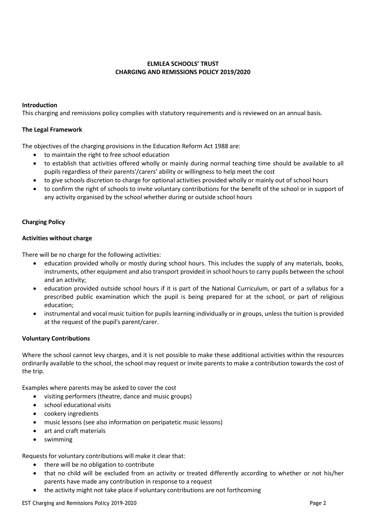## **ELMLEA SCHOOLS' TRUST CHARGING AND REMISSIONS POLICY 2019/2020**

### **Introduction**

This charging and remissions policy complies with statutory requirements and is reviewed on an annual basis.

### **The Legal Framework**

The objectives of the charging provisions in the Education Reform Act 1988 are:

- to maintain the right to free school education
- to establish that activities offered wholly or mainly during normal teaching time should be available to all pupils regardless of their parents'/carers' ability or willingness to help meet the cost
- to give schools discretion to charge for optional activities provided wholly or mainly out of school hours
- to confirm the right of schools to invite voluntary contributions for the benefit of the school or in support of any activity organised by the school whether during or outside school hours

## **Charging Policy**

### **Activities without charge**

There will be no charge for the following activities:

- education provided wholly or mostly during school hours. This includes the supply of any materials, books, instruments, other equipment and also transport provided in school hours to carry pupils between the school and an activity;
- education provided outside school hours if it is part of the National Curriculum, or part of a syllabus for a prescribed public examination which the pupil is being prepared for at the school, or part of religious education;
- instrumental and vocal music tuition for pupils learning individually or in groups, unless the tuition is provided at the request of the pupil's parent/carer.

#### **Voluntary Contributions**

Where the school cannot levy charges, and it is not possible to make these additional activities within the resources ordinarily available to the school, the school may request or invite parents to make a contribution towards the cost of the trip.

Examples where parents may be asked to cover the cost

- visiting performers (theatre, dance and music groups)
- school educational visits
- cookery ingredients
- music lessons (see also information on peripatetic music lessons)
- art and craft materials
- swimming

Requests for voluntary contributions will make it clear that:

- there will be no obligation to contribute
- that no child will be excluded from an activity or treated differently according to whether or not his/her parents have made any contribution in response to a request
- the activity might not take place if voluntary contributions are not forthcoming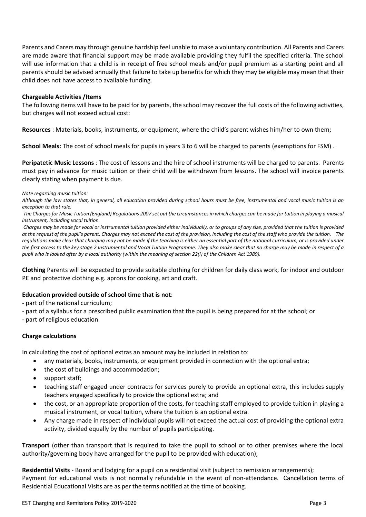Parents and Carers may through genuine hardship feel unable to make a voluntary contribution. All Parents and Carers are made aware that financial support may be made available providing they fulfil the specified criteria. The school will use information that a child is in receipt of free school meals and/or pupil premium as a starting point and all parents should be advised annually that failure to take up benefits for which they may be eligible may mean that their child does not have access to available funding.

#### **Chargeable Activities /Items**

The following items will have to be paid for by parents, the school may recover the full costs of the following activities, but charges will not exceed actual cost:

**Resources** : Materials, books, instruments, or equipment, where the child's parent wishes him/her to own them;

**School Meals:** The cost of school meals for pupils in years 3 to 6 will be charged to parents (exemptions for FSM) .

**Peripatetic Music Lessons** : The cost of lessons and the hire of school instruments will be charged to parents. Parents must pay in advance for music tuition or their child will be withdrawn from lessons. The school will invoice parents clearly stating when payment is due.

#### *Note regarding music tuition:*

*Although the law states that, in general, all education provided during school hours must be free, instrumental and vocal music tuition is an exception to that rule.* 

*The Charges for Music Tuition (England) Regulations 2007 set out the circumstances in which charges can be made for tuition in playing a musical instrument, including vocal tuition.* 

*Charges may be made for vocal or instrumental tuition provided either individually, or to groups of any size, provided that the tuition is provided at the request of the pupil's parent. Charges may not exceed the cost of the provision, including the cost of the staff who provide the tuition. The regulations make clear that charging may not be made if the teaching is either an essential part of the national curriculum, or is provided under the first access to the key stage 2 Instrumental and Vocal Tuition Programme. They also make clear that no charge may be made in respect of a pupil who is looked after by a local authority (within the meaning of section 22(l) of the Children Act 1989).*

**Clothing** Parents will be expected to provide suitable clothing for children for daily class work, for indoor and outdoor PE and protective clothing e.g. aprons for cooking, art and craft.

## **Education provided outside of school time that is not**:

- part of the national curriculum;

- part of a syllabus for a prescribed public examination that the pupil is being prepared for at the school; or

- part of religious education.

## **Charge calculations**

In calculating the cost of optional extras an amount may be included in relation to:

- any materials, books, instruments, or equipment provided in connection with the optional extra;
- the cost of buildings and accommodation;
- support staff;
- teaching staff engaged under contracts for services purely to provide an optional extra, this includes supply teachers engaged specifically to provide the optional extra; and
- the cost, or an appropriate proportion of the costs, for teaching staff employed to provide tuition in playing a musical instrument, or vocal tuition, where the tuition is an optional extra.
- Any charge made in respect of individual pupils will not exceed the actual cost of providing the optional extra activity, divided equally by the number of pupils participating.

**Transport** (other than transport that is required to take the pupil to school or to other premises where the local authority/governing body have arranged for the pupil to be provided with education);

**Residential Visits** - Board and lodging for a pupil on a residential visit (subject to remission arrangements); Payment for educational visits is not normally refundable in the event of non-attendance. Cancellation terms of Residential Educational Visits are as per the terms notified at the time of booking.